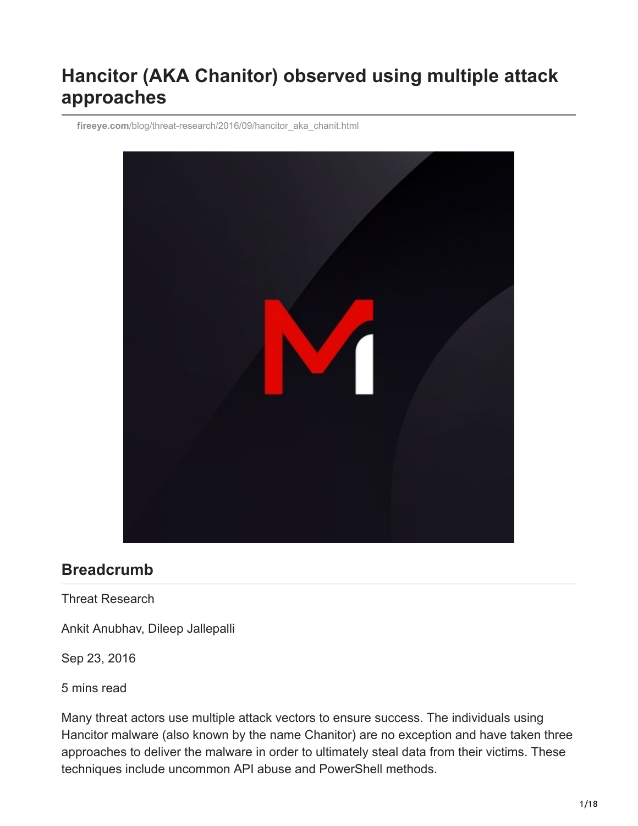## **Hancitor (AKA Chanitor) observed using multiple attack approaches**

**fireeye.com**[/blog/threat-research/2016/09/hancitor\\_aka\\_chanit.html](https://www.fireeye.com/blog/threat-research/2016/09/hancitor_aka_chanit.html)



## **Breadcrumb**

Threat Research

Ankit Anubhav, Dileep Jallepalli

Sep 23, 2016

5 mins read

Many threat actors use multiple attack vectors to ensure success. The individuals using Hancitor malware (also known by the name Chanitor) are no exception and have taken three approaches to deliver the malware in order to ultimately steal data from their victims. These techniques include uncommon API abuse and PowerShell methods.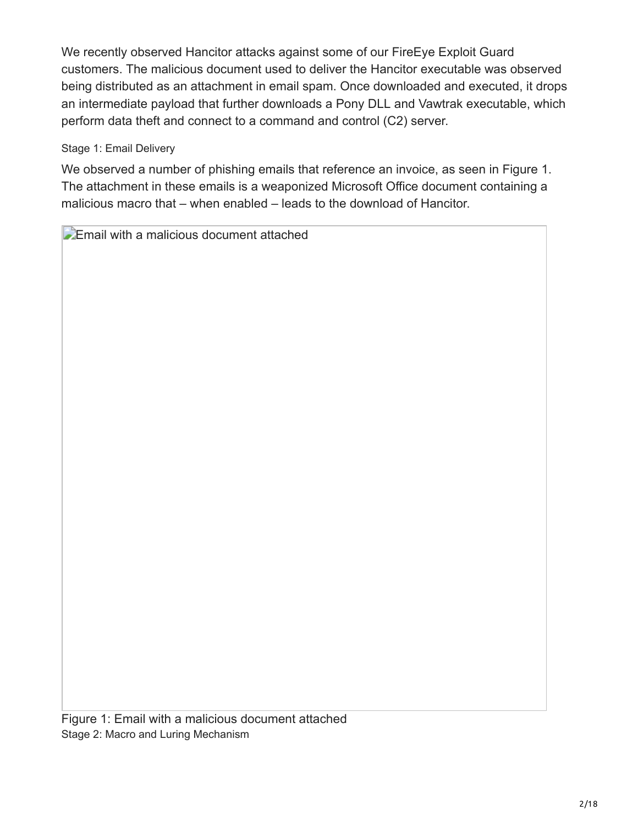We recently observed Hancitor attacks against some of our FireEye Exploit Guard customers. The malicious document used to deliver the Hancitor executable was observed being distributed as an attachment in email spam. Once downloaded and executed, it drops an intermediate payload that further downloads a Pony DLL and Vawtrak executable, which perform data theft and connect to a command and control (C2) server.

## Stage 1: Email Delivery

We observed a number of phishing emails that reference an invoice, as seen in Figure 1. The attachment in these emails is a weaponized Microsoft Office document containing a malicious macro that – when enabled – leads to the download of Hancitor.

**Email with a malicious document attached** 

Figure 1: Email with a malicious document attached Stage 2: Macro and Luring Mechanism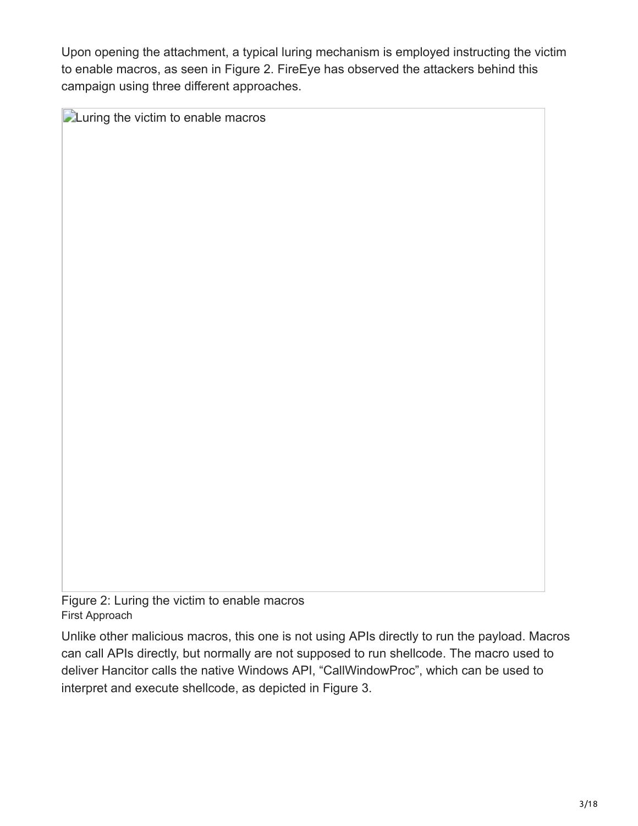Upon opening the attachment, a typical luring mechanism is employed instructing the victim to enable macros, as seen in Figure 2. FireEye has observed the attackers behind this campaign using three different approaches.

**Luring the victim to enable macros** 

Figure 2: Luring the victim to enable macros First Approach

Unlike other malicious macros, this one is not using APIs directly to run the payload. Macros can call APIs directly, but normally are not supposed to run shellcode. The macro used to deliver Hancitor calls the native Windows API, "CallWindowProc", which can be used to interpret and execute shellcode, as depicted in Figure 3.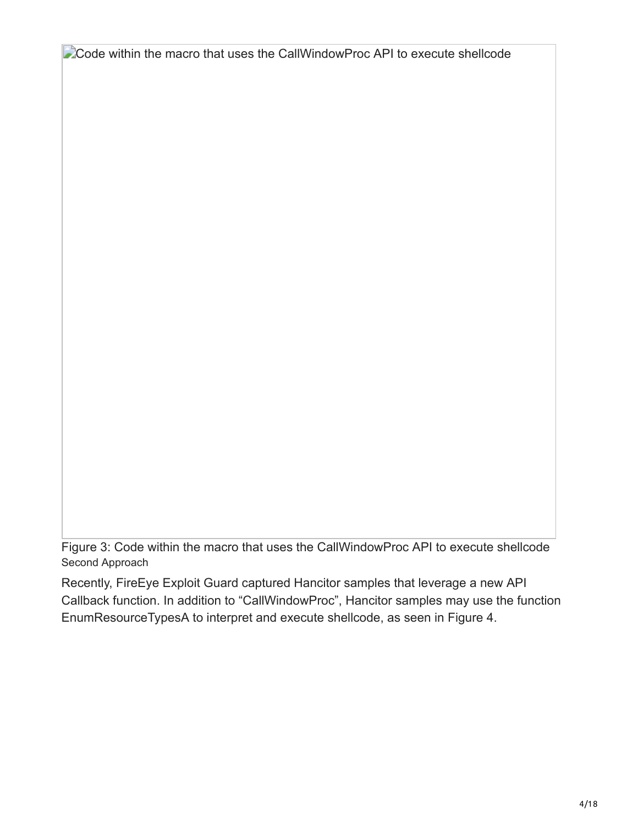Code within the macro that uses the CallWindowProc API to execute shellcode

Figure 3: Code within the macro that uses the CallWindowProc API to execute shellcode Second Approach

Recently, FireEye Exploit Guard captured Hancitor samples that leverage a new API Callback function. In addition to "CallWindowProc", Hancitor samples may use the function EnumResourceTypesA to interpret and execute shellcode, as seen in Figure 4.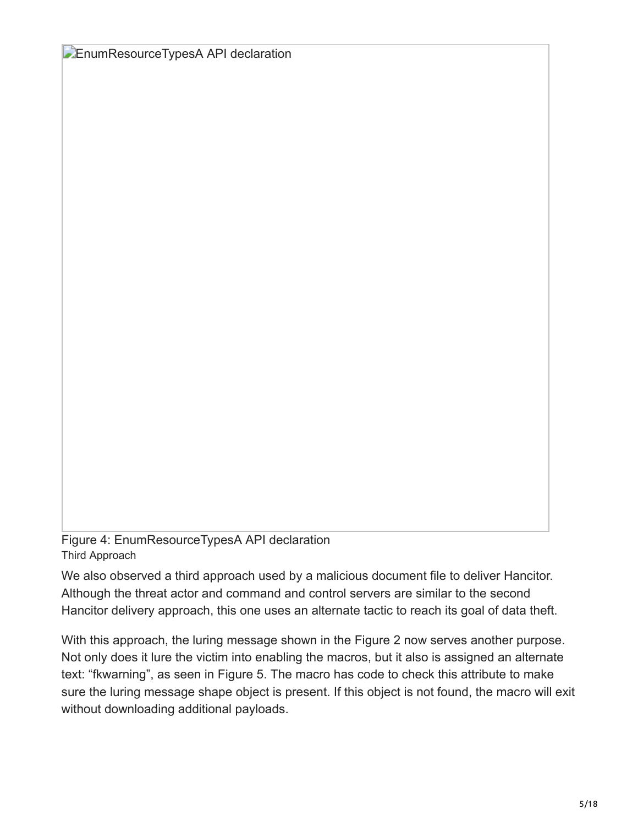**EnumResourceTypesA API declaration** 

Figure 4: EnumResourceTypesA API declaration Third Approach

We also observed a third approach used by a malicious document file to deliver Hancitor. Although the threat actor and command and control servers are similar to the second Hancitor delivery approach, this one uses an alternate tactic to reach its goal of data theft.

With this approach, the luring message shown in the Figure 2 now serves another purpose. Not only does it lure the victim into enabling the macros, but it also is assigned an alternate text: "fkwarning", as seen in Figure 5. The macro has code to check this attribute to make sure the luring message shape object is present. If this object is not found, the macro will exit without downloading additional payloads.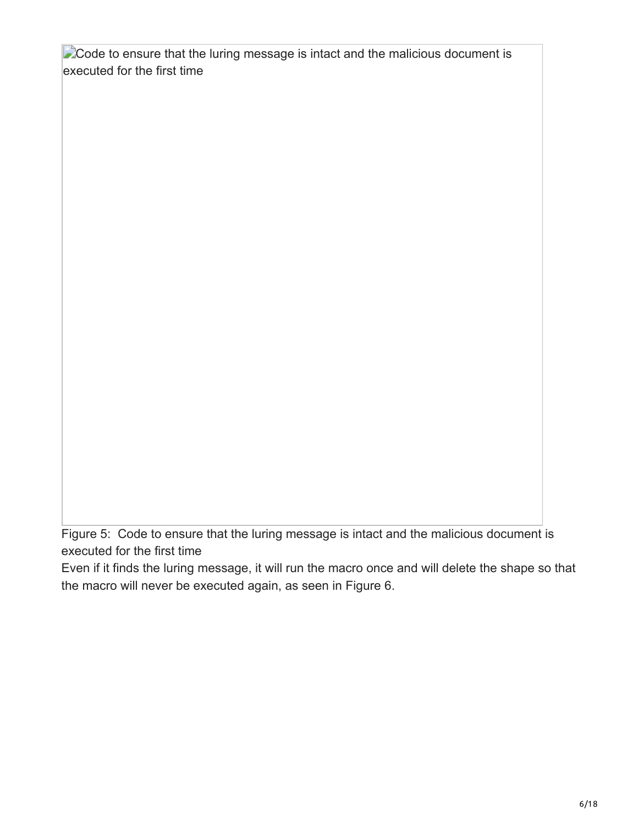**Code to ensure that the luring message is intact and the malicious document is** executed for the first time

Figure 5: Code to ensure that the luring message is intact and the malicious document is executed for the first time

Even if it finds the luring message, it will run the macro once and will delete the shape so that the macro will never be executed again, as seen in Figure 6.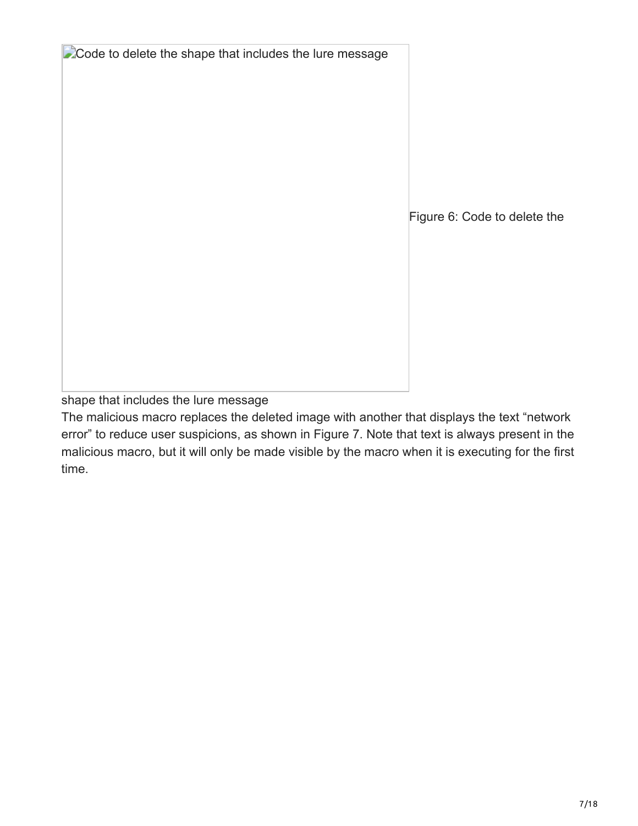**Code to delete the shape that includes the lure message** 

Figure 6: Code to delete the

shape that includes the lure message

The malicious macro replaces the deleted image with another that displays the text "network error" to reduce user suspicions, as shown in Figure 7. Note that text is always present in the malicious macro, but it will only be made visible by the macro when it is executing for the first time.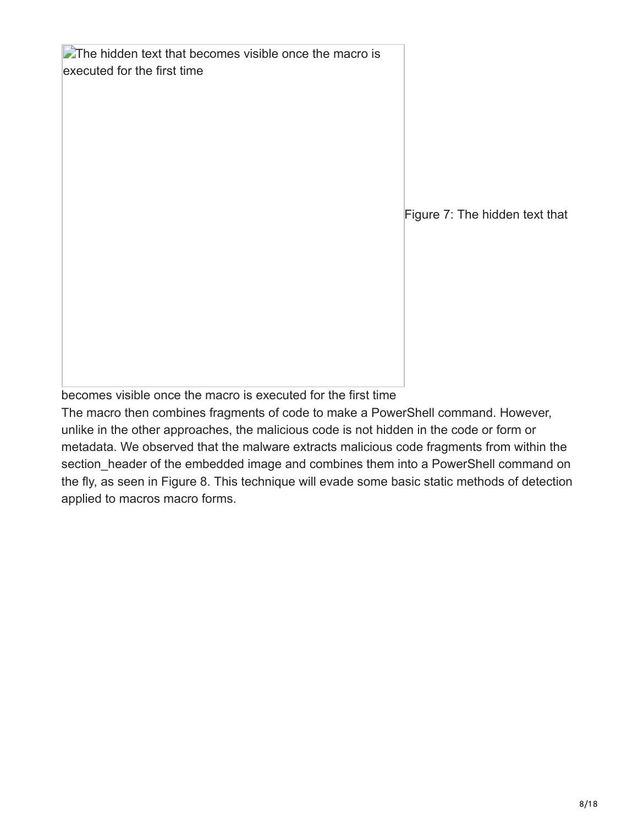$\blacktriangleright$  The hidden text that becomes visible once the macro is executed for the first time

Figure 7: The hidden text that

becomes visible once the macro is executed for the first time

The macro then combines fragments of code to make a PowerShell command. However, unlike in the other approaches, the malicious code is not hidden in the code or form or metadata. We observed that the malware extracts malicious code fragments from within the section header of the embedded image and combines them into a PowerShell command on the fly, as seen in Figure 8. This technique will evade some basic static methods of detection applied to macros macro forms.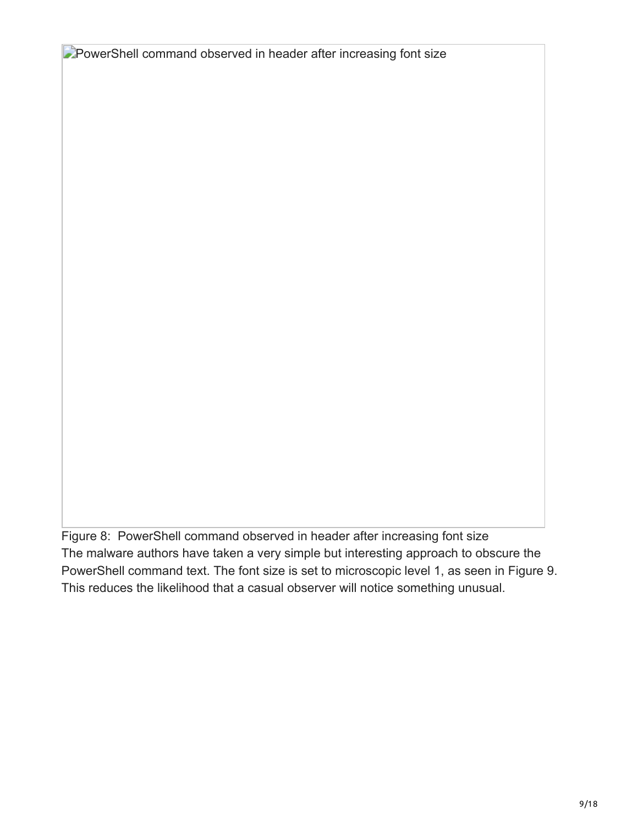**PowerShell command observed in header after increasing font size** 

Figure 8: PowerShell command observed in header after increasing font size The malware authors have taken a very simple but interesting approach to obscure the PowerShell command text. The font size is set to microscopic level 1, as seen in Figure 9. This reduces the likelihood that a casual observer will notice something unusual.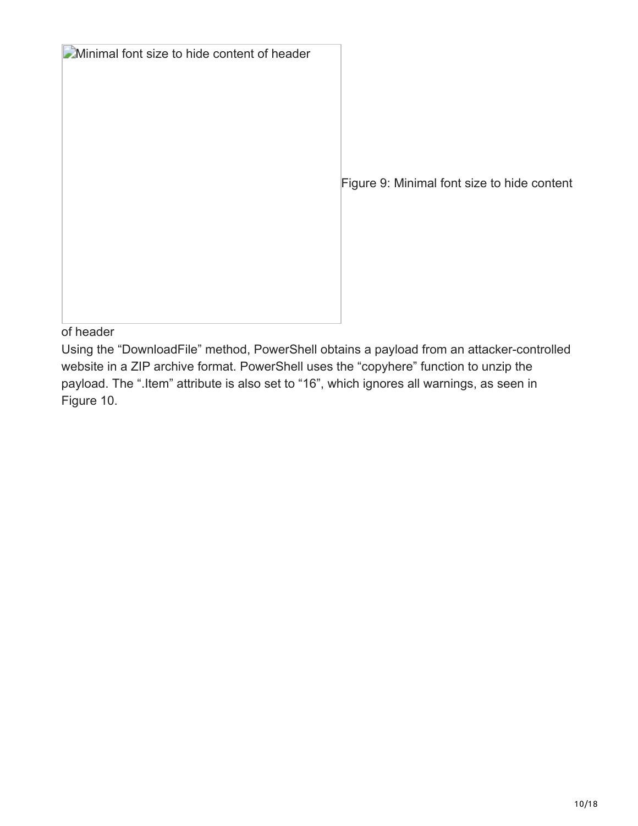**Minimal font size to hide content of header** 

Figure 9: Minimal font size to hide content

of header

Using the "DownloadFile" method, PowerShell obtains a payload from an attacker-controlled website in a ZIP archive format. PowerShell uses the "copyhere" function to unzip the payload. The ".Item" attribute is also set to "16", which ignores all warnings, as seen in Figure 10.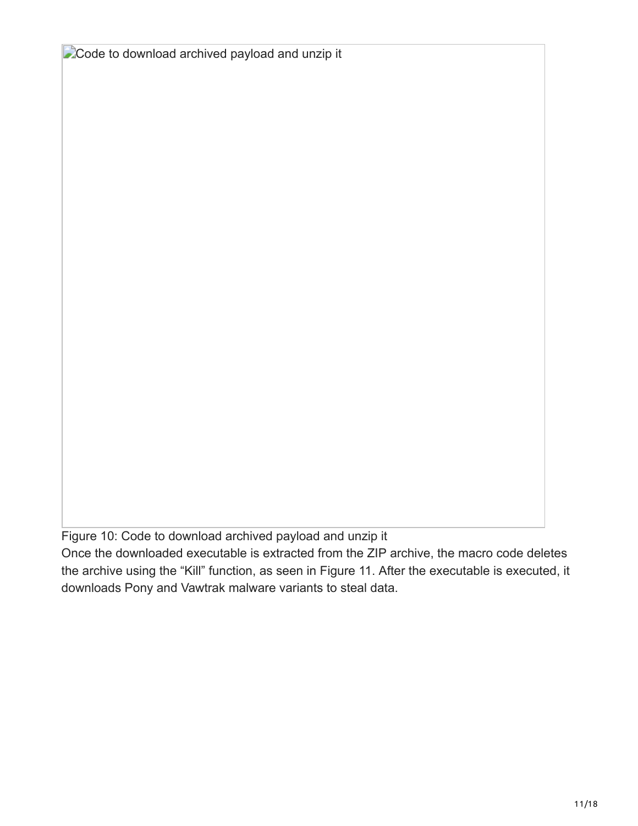**Code to download archived payload and unzip it** 

Figure 10: Code to download archived payload and unzip it

Once the downloaded executable is extracted from the ZIP archive, the macro code deletes the archive using the "Kill" function, as seen in Figure 11. After the executable is executed, it downloads Pony and Vawtrak malware variants to steal data.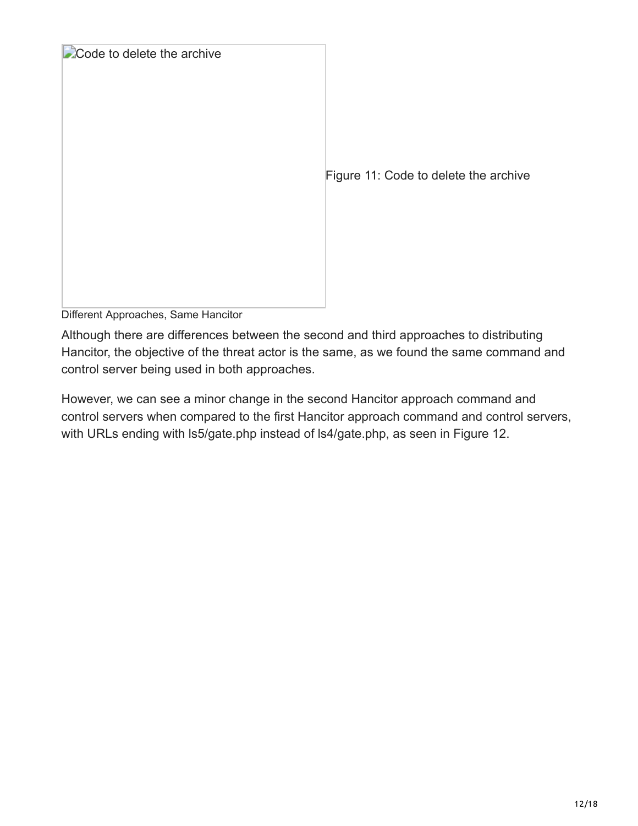

Different Approaches, Same Hancitor

Although there are differences between the second and third approaches to distributing Hancitor, the objective of the threat actor is the same, as we found the same command and control server being used in both approaches.

However, we can see a minor change in the second Hancitor approach command and control servers when compared to the first Hancitor approach command and control servers, with URLs ending with ls5/gate.php instead of ls4/gate.php, as seen in Figure 12.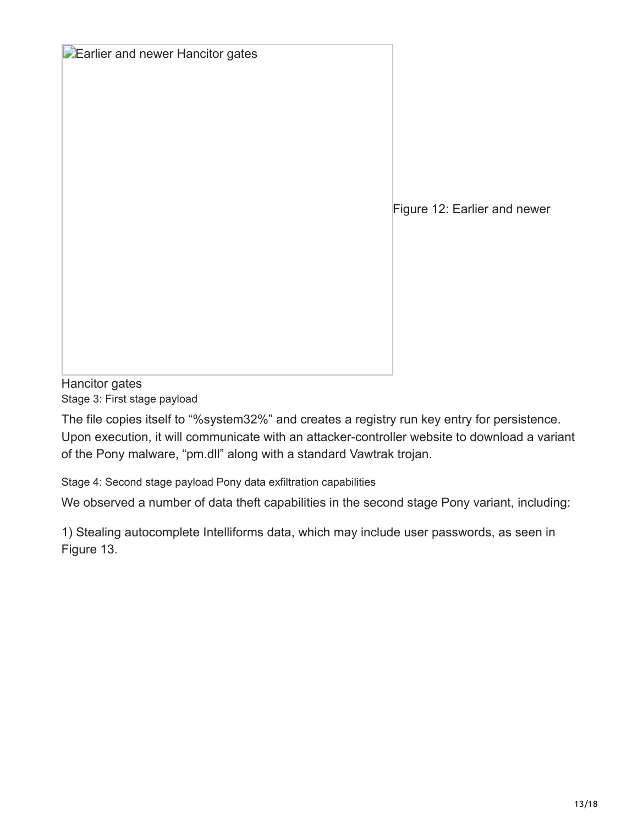|  |  |  | Earlier and newer Hancitor gates |  |
|--|--|--|----------------------------------|--|
|--|--|--|----------------------------------|--|

Figure 12: Earlier and newer

Hancitor gates Stage 3: First stage payload

The file copies itself to "%system32%" and creates a registry run key entry for persistence. Upon execution, it will communicate with an attacker-controller website to download a variant of the Pony malware, "pm.dll" along with a standard Vawtrak trojan.

Stage 4: Second stage payload Pony data exfiltration capabilities

We observed a number of data theft capabilities in the second stage Pony variant, including:

1) Stealing autocomplete Intelliforms data, which may include user passwords, as seen in Figure 13.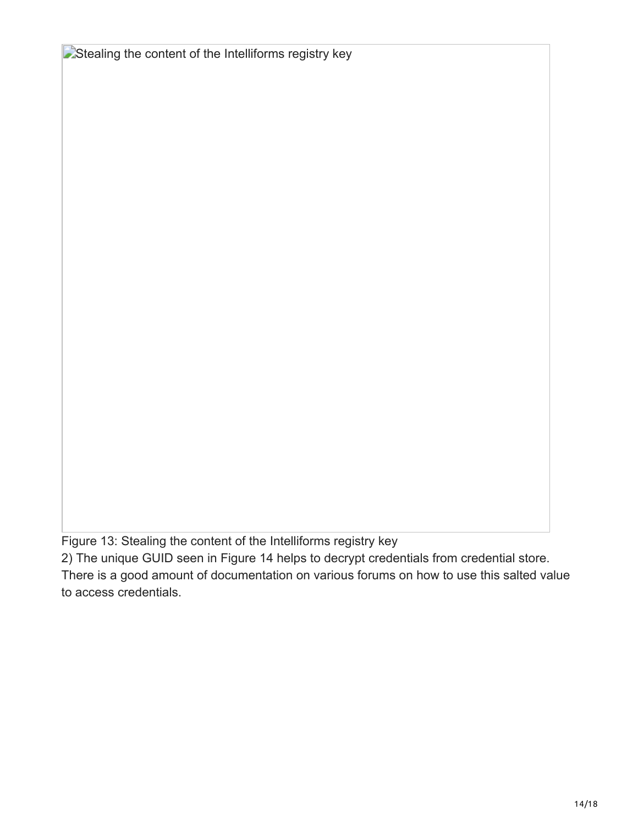**Extealing the content of the Intelliforms registry key** 

Figure 13: Stealing the content of the Intelliforms registry key

2) The unique GUID seen in Figure 14 helps to decrypt credentials from credential store.

There is a good amount of documentation on various forums on how to use this salted value to access credentials.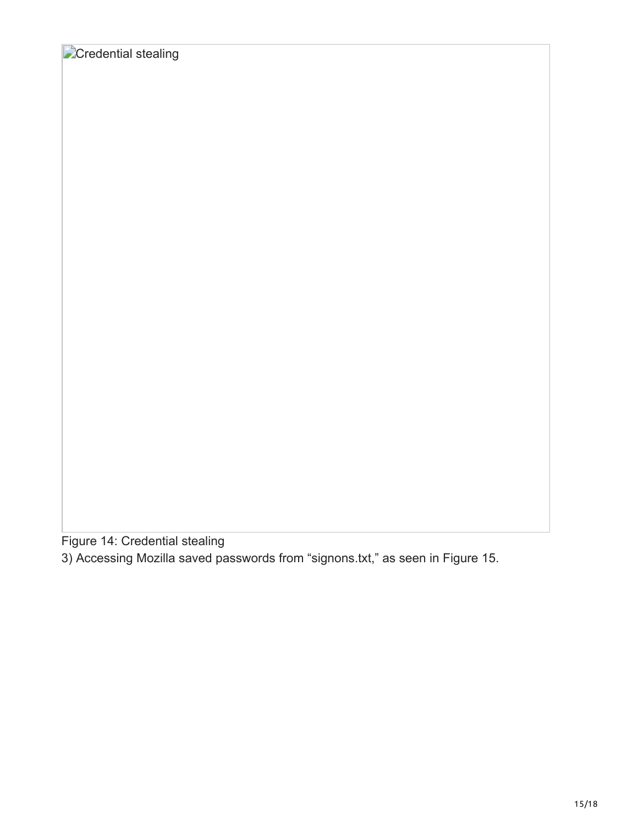Figure 14: Credential stealing

3) Accessing Mozilla saved passwords from "signons.txt," as seen in Figure 15.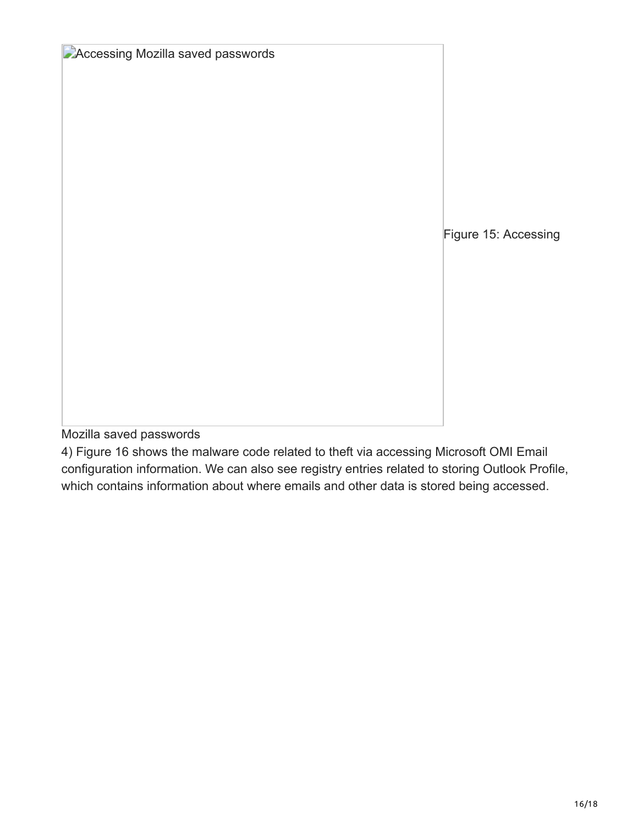| <b>DAccessing Mozilla saved passwords</b> |                      |
|-------------------------------------------|----------------------|
|                                           |                      |
|                                           |                      |
|                                           | Figure 15: Accessing |
|                                           |                      |
|                                           |                      |

Mozilla saved passwords

4) Figure 16 shows the malware code related to theft via accessing Microsoft OMI Email configuration information. We can also see registry entries related to storing Outlook Profile, which contains information about where emails and other data is stored being accessed.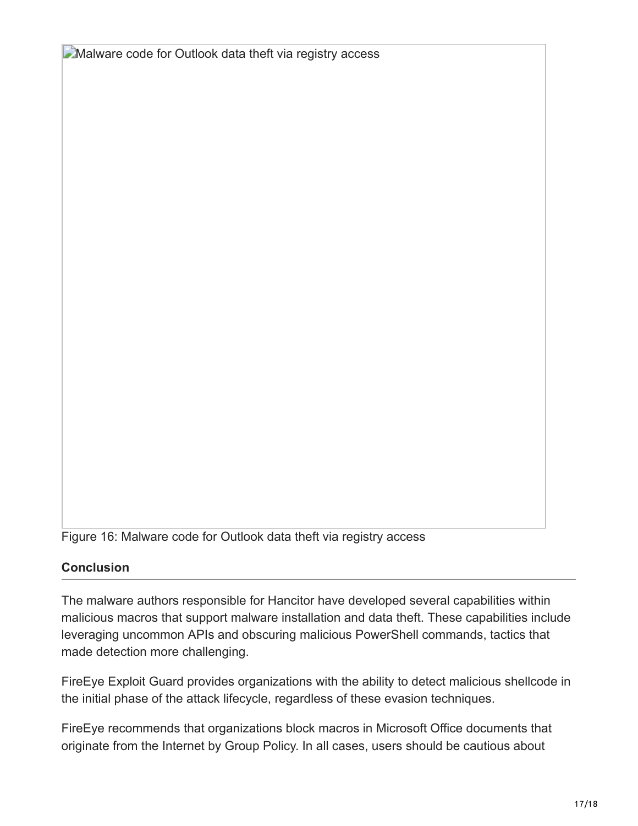**Malware code for Outlook data theft via registry access** 

Figure 16: Malware code for Outlook data theft via registry access

## **Conclusion**

The malware authors responsible for Hancitor have developed several capabilities within malicious macros that support malware installation and data theft. These capabilities include leveraging uncommon APIs and obscuring malicious PowerShell commands, tactics that made detection more challenging.

FireEye Exploit Guard provides organizations with the ability to detect malicious shellcode in the initial phase of the attack lifecycle, regardless of these evasion techniques.

FireEye recommends that organizations block macros in Microsoft Office documents that originate from the Internet by Group Policy. In all cases, users should be cautious about